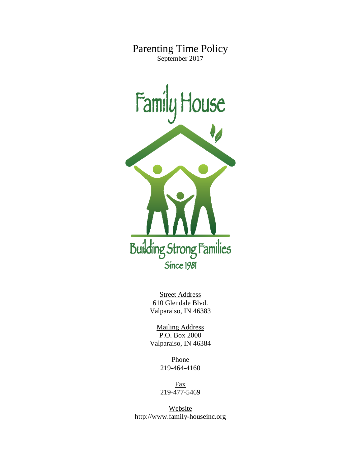Parenting Time Policy September 2017



Street Address 610 Glendale Blvd. Valparaiso, IN 46383

Mailing Address P.O. Box 2000 Valparaiso, IN 46384

> Phone 219-464-4160

Fax 219-477-5469

Website http://www.family-houseinc.org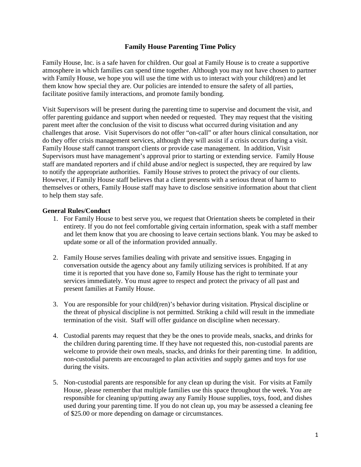## **Family House Parenting Time Policy**

Family House, Inc. is a safe haven for children. Our goal at Family House is to create a supportive atmosphere in which families can spend time together. Although you may not have chosen to partner with Family House, we hope you will use the time with us to interact with your child(ren) and let them know how special they are. Our policies are intended to ensure the safety of all parties, facilitate positive family interactions, and promote family bonding.

Visit Supervisors will be present during the parenting time to supervise and document the visit, and offer parenting guidance and support when needed or requested. They may request that the visiting parent meet after the conclusion of the visit to discuss what occurred during visitation and any challenges that arose. Visit Supervisors do not offer "on-call" or after hours clinical consultation, nor do they offer crisis management services, although they will assist if a crisis occurs during a visit. Family House staff cannot transport clients or provide case management. In addition, Visit Supervisors must have management's approval prior to starting or extending service. Family House staff are mandated reporters and if child abuse and/or neglect is suspected, they are required by law to notify the appropriate authorities. Family House strives to protect the privacy of our clients. However, if Family House staff believes that a client presents with a serious threat of harm to themselves or others, Family House staff may have to disclose sensitive information about that client to help them stay safe.

## **General Rules/Conduct**

- 1. For Family House to best serve you, we request that Orientation sheets be completed in their entirety. If you do not feel comfortable giving certain information, speak with a staff member and let them know that you are choosing to leave certain sections blank. You may be asked to update some or all of the information provided annually.
- 2. Family House serves families dealing with private and sensitive issues. Engaging in conversation outside the agency about any family utilizing services is prohibited. If at any time it is reported that you have done so, Family House has the right to terminate your services immediately. You must agree to respect and protect the privacy of all past and present families at Family House.
- 3. You are responsible for your child(ren)'s behavior during visitation. Physical discipline or the threat of physical discipline is not permitted. Striking a child will result in the immediate termination of the visit. Staff will offer guidance on discipline when necessary.
- 4. Custodial parents may request that they be the ones to provide meals, snacks, and drinks for the children during parenting time. If they have not requested this, non-custodial parents are welcome to provide their own meals, snacks, and drinks for their parenting time. In addition, non-custodial parents are encouraged to plan activities and supply games and toys for use during the visits.
- 5. Non-custodial parents are responsible for any clean up during the visit. For visits at Family House, please remember that multiple families use this space throughout the week. You are responsible for cleaning up/putting away any Family House supplies, toys, food, and dishes used during your parenting time. If you do not clean up, you may be assessed a cleaning fee of \$25.00 or more depending on damage or circumstances.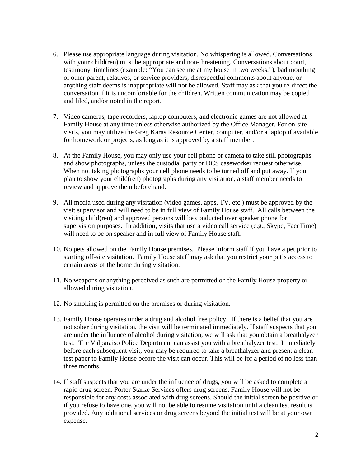- 6. Please use appropriate language during visitation. No whispering is allowed. Conversations with your child(ren) must be appropriate and non-threatening. Conversations about court, testimony, timelines (example: "You can see me at my house in two weeks."), bad mouthing of other parent, relatives, or service providers, disrespectful comments about anyone, or anything staff deems is inappropriate will not be allowed. Staff may ask that you re-direct the conversation if it is uncomfortable for the children. Written communication may be copied and filed, and/or noted in the report.
- 7. Video cameras, tape recorders, laptop computers, and electronic games are not allowed at Family House at any time unless otherwise authorized by the Office Manager. For on-site visits, you may utilize the Greg Karas Resource Center, computer, and/or a laptop if available for homework or projects, as long as it is approved by a staff member.
- 8. At the Family House, you may only use your cell phone or camera to take still photographs and show photographs, unless the custodial party or DCS caseworker request otherwise. When not taking photographs your cell phone needs to be turned off and put away. If you plan to show your child(ren) photographs during any visitation, a staff member needs to review and approve them beforehand.
- 9. All media used during any visitation (video games, apps, TV, etc.) must be approved by the visit supervisor and will need to be in full view of Family House staff. All calls between the visiting child(ren) and approved persons will be conducted over speaker phone for supervision purposes. In addition, visits that use a video call service (e.g., Skype, FaceTime) will need to be on speaker and in full view of Family House staff.
- 10. No pets allowed on the Family House premises. Please inform staff if you have a pet prior to starting off-site visitation. Family House staff may ask that you restrict your pet's access to certain areas of the home during visitation.
- 11. No weapons or anything perceived as such are permitted on the Family House property or allowed during visitation.
- 12. No smoking is permitted on the premises or during visitation.
- 13. Family House operates under a drug and alcohol free policy. If there is a belief that you are not sober during visitation, the visit will be terminated immediately. If staff suspects that you are under the influence of alcohol during visitation, we will ask that you obtain a breathalyzer test. The Valparaiso Police Department can assist you with a breathalyzer test. Immediately before each subsequent visit, you may be required to take a breathalyzer and present a clean test paper to Family House before the visit can occur. This will be for a period of no less than three months.
- 14. If staff suspects that you are under the influence of drugs, you will be asked to complete a rapid drug screen. Porter Starke Services offers drug screens. Family House will not be responsible for any costs associated with drug screens. Should the initial screen be positive or if you refuse to have one, you will not be able to resume visitation until a clean test result is provided. Any additional services or drug screens beyond the initial test will be at your own expense.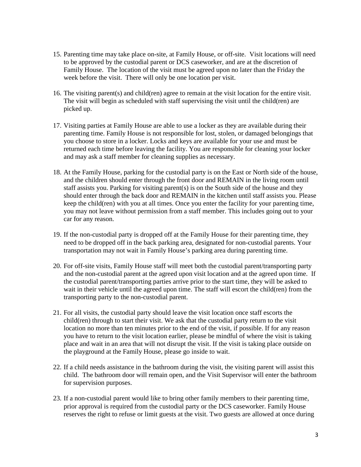- 15. Parenting time may take place on-site, at Family House, or off-site. Visit locations will need to be approved by the custodial parent or DCS caseworker, and are at the discretion of Family House. The location of the visit must be agreed upon no later than the Friday the week before the visit. There will only be one location per visit.
- 16. The visiting parent(s) and child(ren) agree to remain at the visit location for the entire visit. The visit will begin as scheduled with staff supervising the visit until the child(ren) are picked up.
- 17. Visiting parties at Family House are able to use a locker as they are available during their parenting time. Family House is not responsible for lost, stolen, or damaged belongings that you choose to store in a locker. Locks and keys are available for your use and must be returned each time before leaving the facility. You are responsible for cleaning your locker and may ask a staff member for cleaning supplies as necessary.
- 18. At the Family House, parking for the custodial party is on the East or North side of the house, and the children should enter through the front door and REMAIN in the living room until staff assists you. Parking for visiting parent(s) is on the South side of the house and they should enter through the back door and REMAIN in the kitchen until staff assists you. Please keep the child(ren) with you at all times. Once you enter the facility for your parenting time, you may not leave without permission from a staff member. This includes going out to your car for any reason.
- 19. If the non-custodial party is dropped off at the Family House for their parenting time, they need to be dropped off in the back parking area, designated for non-custodial parents. Your transportation may not wait in Family House's parking area during parenting time.
- 20. For off-site visits, Family House staff will meet both the custodial parent/transporting party and the non-custodial parent at the agreed upon visit location and at the agreed upon time. If the custodial parent/transporting parties arrive prior to the start time, they will be asked to wait in their vehicle until the agreed upon time. The staff will escort the child(ren) from the transporting party to the non-custodial parent.
- 21. For all visits, the custodial party should leave the visit location once staff escorts the child(ren) through to start their visit. We ask that the custodial party return to the visit location no more than ten minutes prior to the end of the visit, if possible. If for any reason you have to return to the visit location earlier, please be mindful of where the visit is taking place and wait in an area that will not disrupt the visit. If the visit is taking place outside on the playground at the Family House, please go inside to wait.
- 22. If a child needs assistance in the bathroom during the visit, the visiting parent will assist this child. The bathroom door will remain open, and the Visit Supervisor will enter the bathroom for supervision purposes.
- 23. If a non-custodial parent would like to bring other family members to their parenting time, prior approval is required from the custodial party or the DCS caseworker. Family House reserves the right to refuse or limit guests at the visit. Two guests are allowed at once during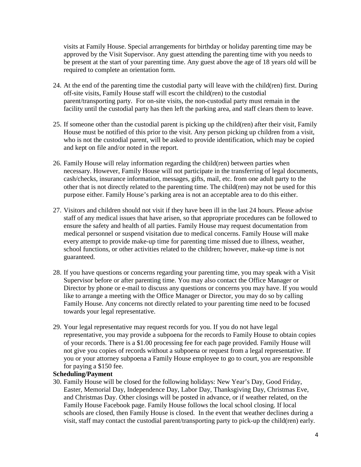visits at Family House. Special arrangements for birthday or holiday parenting time may be approved by the Visit Supervisor. Any guest attending the parenting time with you needs to be present at the start of your parenting time. Any guest above the age of 18 years old will be required to complete an orientation form.

- 24. At the end of the parenting time the custodial party will leave with the child(ren) first. During off-site visits, Family House staff will escort the child(ren) to the custodial parent/transporting party. For on-site visits, the non-custodial party must remain in the facility until the custodial party has then left the parking area, and staff clears them to leave.
- 25. If someone other than the custodial parent is picking up the child(ren) after their visit, Family House must be notified of this prior to the visit. Any person picking up children from a visit, who is not the custodial parent, will be asked to provide identification, which may be copied and kept on file and/or noted in the report.
- 26. Family House will relay information regarding the child(ren) between parties when necessary. However, Family House will not participate in the transferring of legal documents, cash/checks, insurance information, messages, gifts, mail, etc. from one adult party to the other that is not directly related to the parenting time. The child(ren) may not be used for this purpose either. Family House's parking area is not an acceptable area to do this either.
- 27. Visitors and children should not visit if they have been ill in the last 24 hours. Please advise staff of any medical issues that have arisen, so that appropriate procedures can be followed to ensure the safety and health of all parties. Family House may request documentation from medical personnel or suspend visitation due to medical concerns. Family House will make every attempt to provide make-up time for parenting time missed due to illness, weather, school functions, or other activities related to the children; however, make-up time is not guaranteed.
- 28. If you have questions or concerns regarding your parenting time, you may speak with a Visit Supervisor before or after parenting time. You may also contact the Office Manager or Director by phone or e-mail to discuss any questions or concerns you may have. If you would like to arrange a meeting with the Office Manager or Director, you may do so by calling Family House. Any concerns not directly related to your parenting time need to be focused towards your legal representative.
- 29. Your legal representative may request records for you. If you do not have legal representative, you may provide a subpoena for the records to Family House to obtain copies of your records. There is a \$1.00 processing fee for each page provided. Family House will not give you copies of records without a subpoena or request from a legal representative. If you or your attorney subpoena a Family House employee to go to court, you are responsible for paying a \$150 fee.

## **Scheduling/Payment**

30. Family House will be closed for the following holidays: New Year's Day, Good Friday, Easter, Memorial Day, Independence Day, Labor Day, Thanksgiving Day, Christmas Eve, and Christmas Day. Other closings will be posted in advance, or if weather related, on the Family House Facebook page. Family House follows the local school closing. If local schools are closed, then Family House is closed. In the event that weather declines during a visit, staff may contact the custodial parent/transporting party to pick-up the child(ren) early.